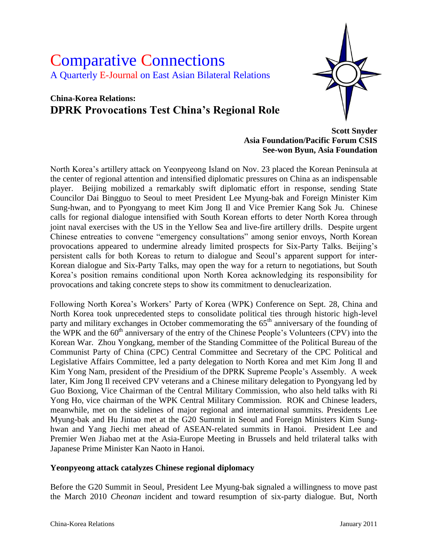# Comparative Connections A Quarterly E-Journal on East Asian Bilateral Relations

# **China-Korea Relations: DPRK Provocations Test China's Regional Role**



**Scott Snyder Asia Foundation/Pacific Forum CSIS See-won Byun, Asia Foundation**

North Korea's artillery attack on Yeonpyeong Island on Nov. 23 placed the Korean Peninsula at the center of regional attention and intensified diplomatic pressures on China as an indispensable player. Beijing mobilized a remarkably swift diplomatic effort in response, sending State Councilor Dai Bingguo to Seoul to meet President Lee Myung-bak and Foreign Minister Kim Sung-hwan, and to Pyongyang to meet Kim Jong Il and Vice Premier Kang Sok Ju. Chinese calls for regional dialogue intensified with South Korean efforts to deter North Korea through joint naval exercises with the US in the Yellow Sea and live-fire artillery drills. Despite urgent Chinese entreaties to convene "emergency consultations" among senior envoys, North Korean provocations appeared to undermine already limited prospects for Six-Party Talks. Beijing's persistent calls for both Koreas to return to dialogue and Seoul's apparent support for inter-Korean dialogue and Six-Party Talks, may open the way for a return to negotiations, but South Korea's position remains conditional upon North Korea acknowledging its responsibility for provocations and taking concrete steps to show its commitment to denuclearization.

Following North Korea's Workers' Party of Korea (WPK) Conference on Sept. 28, China and North Korea took unprecedented steps to consolidate political ties through historic high-level party and military exchanges in October commemorating the 65<sup>th</sup> anniversary of the founding of the WPK and the  $60<sup>th</sup>$  anniversary of the entry of the Chinese People's Volunteers (CPV) into the Korean War. Zhou Yongkang, member of the Standing Committee of the Political Bureau of the Communist Party of China (CPC) Central Committee and Secretary of the CPC Political and Legislative Affairs Committee, led a party delegation to North Korea and met Kim Jong Il and Kim Yong Nam, president of the Presidium of the DPRK Supreme People's Assembly. A week later, Kim Jong Il received CPV veterans and a Chinese military delegation to Pyongyang led by Guo Boxiong, Vice Chairman of the Central Military Commission, who also held talks with Ri Yong Ho, vice chairman of the WPK Central Military Commission. ROK and Chinese leaders, meanwhile, met on the sidelines of major regional and international summits. Presidents Lee Myung-bak and Hu Jintao met at the G20 Summit in Seoul and Foreign Ministers Kim Sunghwan and Yang Jiechi met ahead of ASEAN-related summits in Hanoi. President Lee and Premier Wen Jiabao met at the Asia-Europe Meeting in Brussels and held trilateral talks with Japanese Prime Minister Kan Naoto in Hanoi.

#### **Yeonpyeong attack catalyzes Chinese regional diplomacy**

Before the G20 Summit in Seoul, President Lee Myung-bak signaled a willingness to move past the March 2010 *Cheonan* incident and toward resumption of six-party dialogue. But, North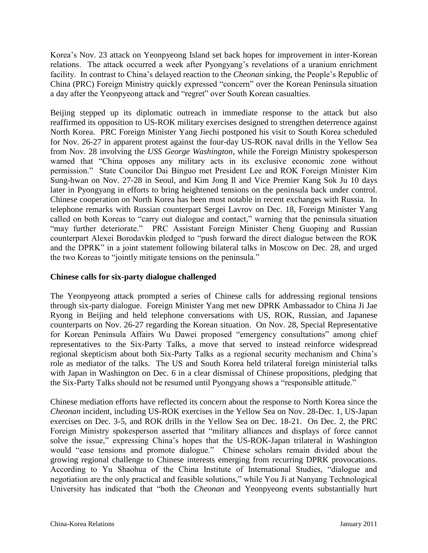Korea's Nov. 23 attack on Yeonpyeong Island set back hopes for improvement in inter-Korean relations. The attack occurred a week after Pyongyang's revelations of a uranium enrichment facility. In contrast to China's delayed reaction to the *Cheonan* sinking, the People's Republic of China (PRC) Foreign Ministry quickly expressed "concern" over the Korean Peninsula situation a day after the Yeonpyeong attack and "regret" over South Korean casualties.

Beijing stepped up its diplomatic outreach in immediate response to the attack but also reaffirmed its opposition to US-ROK military exercises designed to strengthen deterrence against North Korea. PRC Foreign Minister Yang Jiechi postponed his visit to South Korea scheduled for Nov. 26-27 in apparent protest against the four-day US-ROK naval drills in the Yellow Sea from Nov. 28 involving the *USS George Washington*, while the Foreign Ministry spokesperson warned that "China opposes any military acts in its exclusive economic zone without permission." State Councilor Dai Binguo met President Lee and ROK Foreign Minister Kim Sung-hwan on Nov. 27-28 in Seoul, and Kim Jong Il and Vice Premier Kang Sok Ju 10 days later in Pyongyang in efforts to bring heightened tensions on the peninsula back under control. Chinese cooperation on North Korea has been most notable in recent exchanges with Russia. In telephone remarks with Russian counterpart Sergei Lavrov on Dec. 18, Foreign Minister Yang called on both Koreas to "carry out dialogue and contact," warning that the peninsula situation "may further deteriorate." PRC Assistant Foreign Minister Cheng Guoping and Russian counterpart Alexei Borodavkin pledged to "push forward the direct dialogue between the ROK and the DPRK" in a joint statement following bilateral talks in Moscow on Dec. 28, and urged the two Koreas to "jointly mitigate tensions on the peninsula."

### **Chinese calls for six-party dialogue challenged**

The Yeonpyeong attack prompted a series of Chinese calls for addressing regional tensions through six-party dialogue. Foreign Minister Yang met new DPRK Ambassador to China Ji Jae Ryong in Beijing and held telephone conversations with US, ROK, Russian, and Japanese counterparts on Nov. 26-27 regarding the Korean situation. On Nov. 28, Special Representative for Korean Peninsula Affairs Wu Dawei proposed "emergency consultations" among chief representatives to the Six-Party Talks, a move that served to instead reinforce widespread regional skepticism about both Six-Party Talks as a regional security mechanism and China's role as mediator of the talks. The US and South Korea held trilateral foreign ministerial talks with Japan in Washington on Dec. 6 in a clear dismissal of Chinese propositions, pledging that the Six-Party Talks should not be resumed until Pyongyang shows a "responsible attitude."

Chinese mediation efforts have reflected its concern about the response to North Korea since the *Cheonan* incident, including US-ROK exercises in the Yellow Sea on Nov. 28-Dec. 1, US-Japan exercises on Dec. 3-5, and ROK drills in the Yellow Sea on Dec. 18-21. On Dec. 2, the PRC Foreign Ministry spokesperson asserted that "military alliances and displays of force cannot solve the issue," expressing China's hopes that the US-ROK-Japan trilateral in Washington would "ease tensions and promote dialogue." Chinese scholars remain divided about the growing regional challenge to Chinese interests emerging from recurring DPRK provocations. According to Yu Shaohua of the China Institute of International Studies, "dialogue and negotiation are the only practical and feasible solutions," while You Ji at Nanyang Technological University has indicated that "both the *Cheonan* and Yeonpyeong events substantially hurt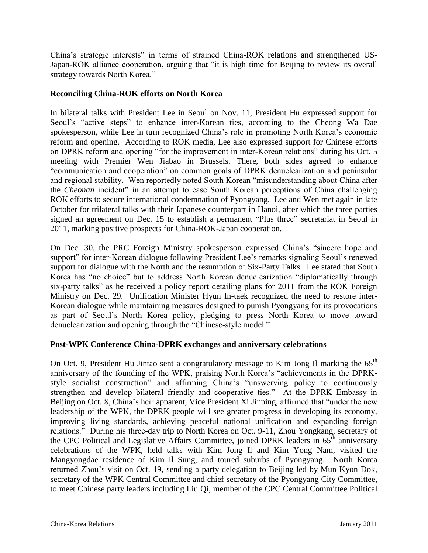China's strategic interests" in terms of strained China-ROK relations and strengthened US-Japan-ROK alliance cooperation, arguing that "it is high time for Beijing to review its overall strategy towards North Korea."

## **Reconciling China-ROK efforts on North Korea**

In bilateral talks with President Lee in Seoul on Nov. 11, President Hu expressed support for Seoul's "active steps" to enhance inter-Korean ties, according to the Cheong Wa Dae spokesperson, while Lee in turn recognized China's role in promoting North Korea's economic reform and opening. According to ROK media, Lee also expressed support for Chinese efforts on DPRK reform and opening "for the improvement in inter-Korean relations" during his Oct. 5 meeting with Premier Wen Jiabao in Brussels. There, both sides agreed to enhance "communication and cooperation" on common goals of DPRK denuclearization and peninsular and regional stability. Wen reportedly noted South Korean "misunderstanding about China after the *Cheonan* incident" in an attempt to ease South Korean perceptions of China challenging ROK efforts to secure international condemnation of Pyongyang. Lee and Wen met again in late October for trilateral talks with their Japanese counterpart in Hanoi, after which the three parties signed an agreement on Dec. 15 to establish a permanent "Plus three" secretariat in Seoul in 2011, marking positive prospects for China-ROK-Japan cooperation.

On Dec. 30, the PRC Foreign Ministry spokesperson expressed China's "sincere hope and support" for inter-Korean dialogue following President Lee's remarks signaling Seoul's renewed support for dialogue with the North and the resumption of Six-Party Talks. Lee stated that South Korea has "no choice" but to address North Korean denuclearization "diplomatically through six-party talks" as he received a policy report detailing plans for 2011 from the ROK Foreign Ministry on Dec. 29. Unification Minister Hyun In-taek recognized the need to restore inter-Korean dialogue while maintaining measures designed to punish Pyongyang for its provocations as part of Seoul's North Korea policy, pledging to press North Korea to move toward denuclearization and opening through the "Chinese-style model."

# **Post-WPK Conference China-DPRK exchanges and anniversary celebrations**

On Oct. 9, President Hu Jintao sent a congratulatory message to Kim Jong Il marking the 65<sup>th</sup> anniversary of the founding of the WPK, praising North Korea's "achievements in the DPRKstyle socialist construction" and affirming China's "unswerving policy to continuously strengthen and develop bilateral friendly and cooperative ties." At the DPRK Embassy in Beijing on Oct. 8, China's heir apparent, Vice President Xi Jinping, affirmed that "under the new leadership of the WPK, the DPRK people will see greater progress in developing its economy, improving living standards, achieving peaceful national unification and expanding foreign relations." During his three-day trip to North Korea on Oct. 9-11, Zhou Yongkang, secretary of the CPC Political and Legislative Affairs Committee, joined DPRK leaders in  $65<sup>th</sup>$  anniversary celebrations of the WPK, held talks with Kim Jong Il and Kim Yong Nam, visited the Mangyongdae residence of Kim Il Sung, and toured suburbs of Pyongyang. North Korea returned Zhou's visit on Oct. 19, sending a party delegation to Beijing led by Mun Kyon Dok, secretary of the WPK Central Committee and chief secretary of the Pyongyang City Committee, to meet Chinese party leaders including Liu Qi, member of the CPC Central Committee Political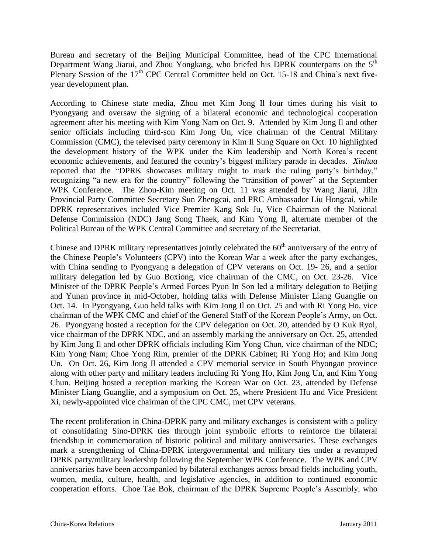Bureau and secretary of the Beijing Municipal Committee, head of the CPC International Department Wang Jiarui, and Zhou Yongkang, who briefed his DPRK counterparts on the  $5<sup>th</sup>$ Plenary Session of the  $17<sup>th</sup>$  CPC Central Committee held on Oct. 15-18 and China's next fiveyear development plan.

According to Chinese state media, Zhou met Kim Jong Il four times during his visit to Pyongyang and oversaw the signing of a bilateral economic and technological cooperation agreement after his meeting with Kim Yong Nam on Oct. 9. Attended by Kim Jong Il and other senior officials including third-son Kim Jong Un, vice chairman of the Central Military Commission (CMC), the televised party ceremony in Kim Il Sung Square on Oct. 10 highlighted the development history of the WPK under the Kim leadership and North Korea's recent economic achievements, and featured the country's biggest military parade in decades. *Xinhua* reported that the "DPRK showcases military might to mark the ruling party's birthday," recognizing "a new era for the country" following the "transition of power" at the September WPK Conference. The Zhou-Kim meeting on Oct. 11 was attended by Wang Jiarui, Jilin Provincial Party Committee Secretary Sun Zhengcai, and PRC Ambassador Liu Hongcai, while DPRK representatives included Vice Premier Kang Sok Ju, Vice Chairman of the National Defense Commission (NDC) Jang Song Thaek, and Kim Yong Il, alternate member of the Political Bureau of the WPK Central Committee and secretary of the Secretariat.

Chinese and DPRK military representatives jointly celebrated the  $60<sup>th</sup>$  anniversary of the entry of the Chinese People's Volunteers (CPV) into the Korean War a week after the party exchanges, with China sending to Pyongyang a delegation of CPV veterans on Oct. 19- 26, and a senior military delegation led by Guo Boxiong, vice chairman of the CMC, on Oct. 23-26. Vice Minister of the DPRK People's Armed Forces Pyon In Son led a military delegation to Beijing and Yunan province in mid-October, holding talks with Defense Minister Liang Guanglie on Oct. 14. In Pyongyang, Guo held talks with Kim Jong Il on Oct. 25 and with Ri Yong Ho, vice chairman of the WPK CMC and chief of the General Staff of the Korean People's Army, on Oct. 26. Pyongyang hosted a reception for the CPV delegation on Oct. 20, attended by O Kuk Ryol, vice chairman of the DPRK NDC, and an assembly marking the anniversary on Oct. 25, attended by Kim Jong Il and other DPRK officials including Kim Yong Chun, vice chairman of the NDC; Kim Yong Nam; Choe Yong Rim, premier of the DPRK Cabinet; Ri Yong Ho; and Kim Jong Un. On Oct. 26, Kim Jong Il attended a CPV memorial service in South Phyongan province along with other party and military leaders including Ri Yong Ho, Kim Jong Un, and Kim Yong Chun. Beijing hosted a reception marking the Korean War on Oct. 23, attended by Defense Minister Liang Guanglie, and a symposium on Oct. 25, where President Hu and Vice President Xi, newly-appointed vice chairman of the CPC CMC, met CPV veterans.

The recent proliferation in China-DPRK party and military exchanges is consistent with a policy of consolidating Sino-DPRK ties through joint symbolic efforts to reinforce the bilateral friendship in commemoration of historic political and military anniversaries. These exchanges mark a strengthening of China-DPRK intergovernmental and military ties under a revamped DPRK party/military leadership following the September WPK Conference. The WPK and CPV anniversaries have been accompanied by bilateral exchanges across broad fields including youth, women, media, culture, health, and legislative agencies, in addition to continued economic cooperation efforts. Choe Tae Bok, chairman of the DPRK Supreme People's Assembly, who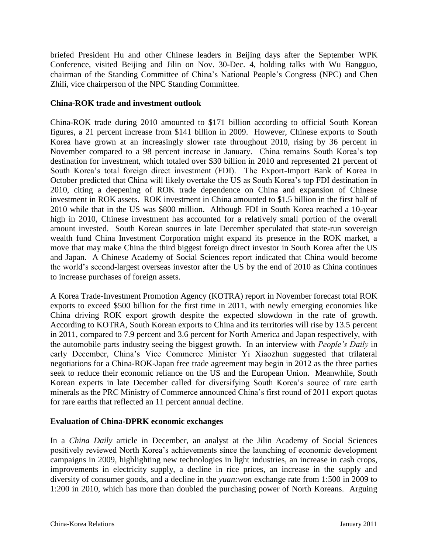briefed President Hu and other Chinese leaders in Beijing days after the September WPK Conference, visited Beijing and Jilin on Nov. 30-Dec. 4, holding talks with Wu Bangguo, chairman of the Standing Committee of China's National People's Congress (NPC) and Chen Zhili, vice chairperson of the NPC Standing Committee.

# **China-ROK trade and investment outlook**

China-ROK trade during 2010 amounted to \$171 billion according to official South Korean figures, a 21 percent increase from \$141 billion in 2009. However, Chinese exports to South Korea have grown at an increasingly slower rate throughout 2010, rising by 36 percent in November compared to a 98 percent increase in January. China remains South Korea's top destination for investment, which totaled over \$30 billion in 2010 and represented 21 percent of South Korea's total foreign direct investment (FDI). The Export-Import Bank of Korea in October predicted that China will likely overtake the US as South Korea's top FDI destination in 2010, citing a deepening of ROK trade dependence on China and expansion of Chinese investment in ROK assets. ROK investment in China amounted to \$1.5 billion in the first half of 2010 while that in the US was \$800 million. Although FDI in South Korea reached a 10-year high in 2010, Chinese investment has accounted for a relatively small portion of the overall amount invested. South Korean sources in late December speculated that state-run sovereign wealth fund China Investment Corporation might expand its presence in the ROK market, a move that may make China the third biggest foreign direct investor in South Korea after the US and Japan. A Chinese Academy of Social Sciences report indicated that China would become the world's second-largest overseas investor after the US by the end of 2010 as China continues to increase purchases of foreign assets.

A Korea Trade-Investment Promotion Agency (KOTRA) report in November forecast total ROK exports to exceed \$500 billion for the first time in 2011, with newly emerging economies like China driving ROK export growth despite the expected slowdown in the rate of growth. According to KOTRA, South Korean exports to China and its territories will rise by 13.5 percent in 2011, compared to 7.9 percent and 3.6 percent for North America and Japan respectively, with the automobile parts industry seeing the biggest growth. In an interview with *People's Daily* in early December, China's Vice Commerce Minister Yi Xiaozhun suggested that trilateral negotiations for a China-ROK-Japan free trade agreement may begin in 2012 as the three parties seek to reduce their economic reliance on the US and the European Union. Meanwhile, South Korean experts in late December called for diversifying South Korea's source of rare earth minerals as the PRC Ministry of Commerce announced China's first round of 2011 export quotas for rare earths that reflected an 11 percent annual decline.

#### **Evaluation of China-DPRK economic exchanges**

In a *China Daily* article in December, an analyst at the Jilin Academy of Social Sciences positively reviewed North Korea's achievements since the launching of economic development campaigns in 2009, highlighting new technologies in light industries, an increase in cash crops, improvements in electricity supply, a decline in rice prices, an increase in the supply and diversity of consumer goods, and a decline in the *yuan:won* exchange rate from 1:500 in 2009 to 1:200 in 2010, which has more than doubled the purchasing power of North Koreans. Arguing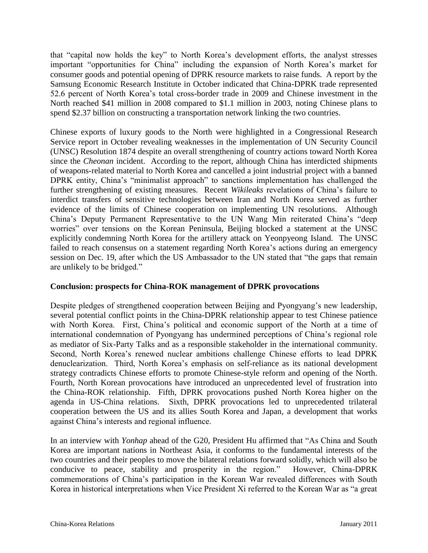that "capital now holds the key" to North Korea's development efforts, the analyst stresses important "opportunities for China" including the expansion of North Korea's market for consumer goods and potential opening of DPRK resource markets to raise funds. A report by the Samsung Economic Research Institute in October indicated that China-DPRK trade represented 52.6 percent of North Korea's total cross-border trade in 2009 and Chinese investment in the North reached \$41 million in 2008 compared to \$1.1 million in 2003, noting Chinese plans to spend \$2.37 billion on constructing a transportation network linking the two countries.

Chinese exports of luxury goods to the North were highlighted in a Congressional Research Service report in October revealing weaknesses in the implementation of UN Security Council (UNSC) Resolution 1874 despite an overall strengthening of country actions toward North Korea since the *Cheonan* incident. According to the report, although China has interdicted shipments of weapons-related material to North Korea and cancelled a joint industrial project with a banned DPRK entity, China's "minimalist approach" to sanctions implementation has challenged the further strengthening of existing measures. Recent *Wikileaks* revelations of China's failure to interdict transfers of sensitive technologies between Iran and North Korea served as further evidence of the limits of Chinese cooperation on implementing UN resolutions. Although China's Deputy Permanent Representative to the UN Wang Min reiterated China's "deep worries" over tensions on the Korean Peninsula, Beijing blocked a statement at the UNSC explicitly condemning North Korea for the artillery attack on Yeonpyeong Island. The UNSC failed to reach consensus on a statement regarding North Korea's actions during an emergency session on Dec. 19, after which the US Ambassador to the UN stated that "the gaps that remain are unlikely to be bridged."

#### **Conclusion: prospects for China-ROK management of DPRK provocations**

Despite pledges of strengthened cooperation between Beijing and Pyongyang's new leadership, several potential conflict points in the China-DPRK relationship appear to test Chinese patience with North Korea. First, China's political and economic support of the North at a time of international condemnation of Pyongyang has undermined perceptions of China's regional role as mediator of Six-Party Talks and as a responsible stakeholder in the international community. Second, North Korea's renewed nuclear ambitions challenge Chinese efforts to lead DPRK denuclearization. Third, North Korea's emphasis on self-reliance as its national development strategy contradicts Chinese efforts to promote Chinese-style reform and opening of the North. Fourth, North Korean provocations have introduced an unprecedented level of frustration into the China-ROK relationship. Fifth, DPRK provocations pushed North Korea higher on the agenda in US-China relations. Sixth, DPRK provocations led to unprecedented trilateral cooperation between the US and its allies South Korea and Japan, a development that works against China's interests and regional influence.

In an interview with *Yonhap* ahead of the G20, President Hu affirmed that "As China and South Korea are important nations in Northeast Asia, it conforms to the fundamental interests of the two countries and their peoples to move the bilateral relations forward solidly, which will also be conducive to peace, stability and prosperity in the region." However, China-DPRK commemorations of China's participation in the Korean War revealed differences with South Korea in historical interpretations when Vice President Xi referred to the Korean War as "a great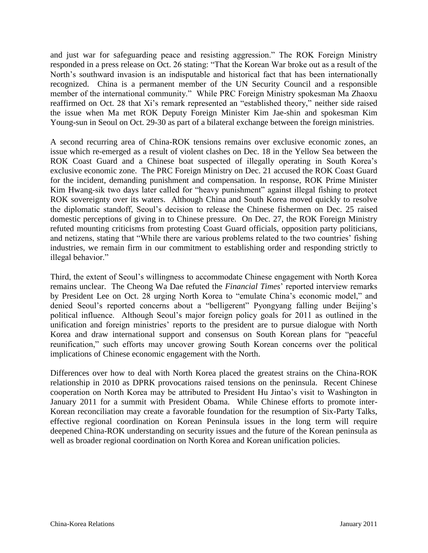and just war for safeguarding peace and resisting aggression." The ROK Foreign Ministry responded in a press release on Oct. 26 stating: "That the Korean War broke out as a result of the North's southward invasion is an indisputable and historical fact that has been internationally recognized. China is a permanent member of the UN Security Council and a responsible member of the international community." While PRC Foreign Ministry spokesman Ma Zhaoxu reaffirmed on Oct. 28 that Xi's remark represented an "established theory," neither side raised the issue when Ma met ROK Deputy Foreign Minister Kim Jae-shin and spokesman Kim Young-sun in Seoul on Oct. 29-30 as part of a bilateral exchange between the foreign ministries.

A second recurring area of China-ROK tensions remains over exclusive economic zones, an issue which re-emerged as a result of violent clashes on Dec. 18 in the Yellow Sea between the ROK Coast Guard and a Chinese boat suspected of illegally operating in South Korea's exclusive economic zone. The PRC Foreign Ministry on Dec. 21 accused the ROK Coast Guard for the incident, demanding punishment and compensation. In response, ROK Prime Minister Kim Hwang-sik two days later called for "heavy punishment" against illegal fishing to protect ROK sovereignty over its waters. Although China and South Korea moved quickly to resolve the diplomatic standoff, Seoul's decision to release the Chinese fishermen on Dec. 25 raised domestic perceptions of giving in to Chinese pressure. On Dec. 27, the ROK Foreign Ministry refuted mounting criticisms from protesting Coast Guard officials, opposition party politicians, and netizens, stating that "While there are various problems related to the two countries' fishing industries, we remain firm in our commitment to establishing order and responding strictly to illegal behavior."

Third, the extent of Seoul's willingness to accommodate Chinese engagement with North Korea remains unclear. The Cheong Wa Dae refuted the *Financial Times*' reported interview remarks by President Lee on Oct. 28 urging North Korea to "emulate China's economic model," and denied Seoul's reported concerns about a "belligerent" Pyongyang falling under Beijing's political influence. Although Seoul's major foreign policy goals for 2011 as outlined in the unification and foreign ministries' reports to the president are to pursue dialogue with North Korea and draw international support and consensus on South Korean plans for "peaceful reunification," such efforts may uncover growing South Korean concerns over the political implications of Chinese economic engagement with the North.

Differences over how to deal with North Korea placed the greatest strains on the China-ROK relationship in 2010 as DPRK provocations raised tensions on the peninsula. Recent Chinese cooperation on North Korea may be attributed to President Hu Jintao's visit to Washington in January 2011 for a summit with President Obama. While Chinese efforts to promote inter-Korean reconciliation may create a favorable foundation for the resumption of Six-Party Talks, effective regional coordination on Korean Peninsula issues in the long term will require deepened China-ROK understanding on security issues and the future of the Korean peninsula as well as broader regional coordination on North Korea and Korean unification policies.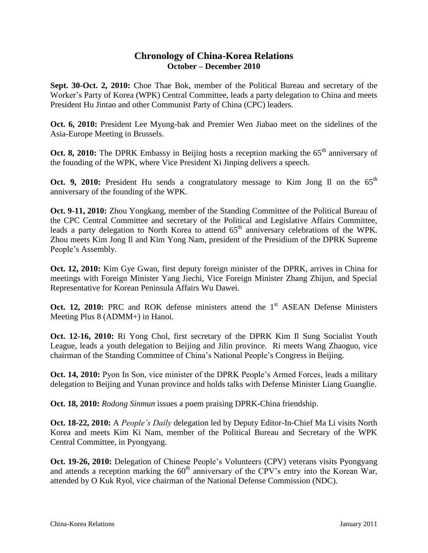# **Chronology of China-Korea Relations October – December 2010**

**Sept. 30-Oct. 2, 2010:** Choe Thae Bok, member of the Political Bureau and secretary of the Worker's Party of Korea (WPK) Central Committee, leads a party delegation to China and meets President Hu Jintao and other Communist Party of China (CPC) leaders.

**Oct. 6, 2010:** President Lee Myung-bak and Premier Wen Jiabao meet on the sidelines of the Asia-Europe Meeting in Brussels.

**Oct. 8, 2010:** The DPRK Embassy in Beijing hosts a reception marking the 65<sup>th</sup> anniversary of the founding of the WPK, where Vice President Xi Jinping delivers a speech.

**Oct.** 9, 2010: President Hu sends a congratulatory message to Kim Jong Il on the 65<sup>th</sup> anniversary of the founding of the WPK.

**Oct. 9-11, 2010:** Zhou Yongkang, member of the Standing Committee of the Political Bureau of the CPC Central Committee and secretary of the Political and Legislative Affairs Committee, leads a party delegation to North Korea to attend 65<sup>th</sup> anniversary celebrations of the WPK. Zhou meets Kim Jong Il and Kim Yong Nam, president of the Presidium of the DPRK Supreme People's Assembly.

**Oct. 12, 2010:** Kim Gye Gwan, first deputy foreign minister of the DPRK, arrives in China for meetings with Foreign Minister Yang Jiechi, Vice Foreign Minister Zhang Zhijun, and Special Representative for Korean Peninsula Affairs Wu Dawei.

**Oct. 12, 2010:** PRC and ROK defense ministers attend the 1<sup>st</sup> ASEAN Defense Ministers Meeting Plus 8 (ADMM+) in Hanoi.

**Oct. 12-16, 2010:** Ri Yong Chol, first secretary of the DPRK Kim Il Sung Socialist Youth League, leads a youth delegation to Beijing and Jilin province. Ri meets Wang Zhaoguo, vice chairman of the Standing Committee of China's National People's Congress in Beijing.

**Oct. 14, 2010:** Pyon In Son, vice minister of the DPRK People's Armed Forces, leads a military delegation to Beijing and Yunan province and holds talks with Defense Minister Liang Guanglie.

**Oct. 18, 2010:** *Rodong Sinmun* issues a poem praising DPRK-China friendship.

**Oct. 18-22, 2010:** A *People's Daily* delegation led by Deputy Editor-In-Chief Ma Li visits North Korea and meets Kim Ki Nam, member of the Political Bureau and Secretary of the WPK Central Committee, in Pyongyang.

**Oct. 19-26, 2010:** Delegation of Chinese People's Volunteers (CPV) veterans visits Pyongyang and attends a reception marking the  $60<sup>th</sup>$  anniversary of the CPV's entry into the Korean War, attended by O Kuk Ryol, vice chairman of the National Defense Commission (NDC).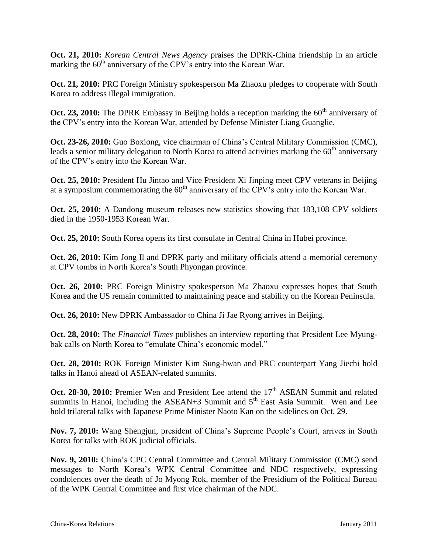**Oct. 21, 2010:** *Korean Central News Agency* praises the DPRK-China friendship in an article marking the  $60<sup>th</sup>$  anniversary of the CPV's entry into the Korean War.

**Oct. 21, 2010:** PRC Foreign Ministry spokesperson Ma Zhaoxu pledges to cooperate with South Korea to address illegal immigration.

**Oct. 23, 2010:** The DPRK Embassy in Beijing holds a reception marking the 60<sup>th</sup> anniversary of the CPV's entry into the Korean War, attended by Defense Minister Liang Guanglie.

**Oct. 23-26, 2010:** Guo Boxiong, vice chairman of China's Central Military Commission (CMC), leads a senior military delegation to North Korea to attend activities marking the  $60<sup>th</sup>$  anniversary of the CPV's entry into the Korean War.

**Oct. 25, 2010:** President Hu Jintao and Vice President Xi Jinping meet CPV veterans in Beijing at a symposium commemorating the  $60<sup>th</sup>$  anniversary of the CPV's entry into the Korean War.

**Oct. 25, 2010:** A Dandong museum releases new statistics showing that 183,108 CPV soldiers died in the 1950-1953 Korean War.

**Oct. 25, 2010:** South Korea opens its first consulate in Central China in Hubei province.

**Oct. 26, 2010:** Kim Jong Il and DPRK party and military officials attend a memorial ceremony at CPV tombs in North Korea's South Phyongan province.

**Oct. 26, 2010:** PRC Foreign Ministry spokesperson Ma Zhaoxu expresses hopes that South Korea and the US remain committed to maintaining peace and stability on the Korean Peninsula.

**Oct. 26, 2010:** New DPRK Ambassador to China Ji Jae Ryong arrives in Beijing.

**Oct. 28, 2010:** The *Financial Times* publishes an interview reporting that President Lee Myungbak calls on North Korea to "emulate China's economic model."

**Oct. 28, 2010:** ROK Foreign Minister Kim Sung-hwan and PRC counterpart Yang Jiechi hold talks in Hanoi ahead of ASEAN-related summits.

**Oct. 28-30, 2010:** Premier Wen and President Lee attend the 17<sup>th</sup> ASEAN Summit and related summits in Hanoi, including the ASEAN+3 Summit and  $5<sup>th</sup>$  East Asia Summit. Wen and Lee hold trilateral talks with Japanese Prime Minister Naoto Kan on the sidelines on Oct. 29.

**Nov. 7, 2010:** Wang Shengjun, president of China's Supreme People's Court, arrives in South Korea for talks with ROK judicial officials.

**Nov. 9, 2010:** China's CPC Central Committee and Central Military Commission (CMC) send messages to North Korea's WPK Central Committee and NDC respectively, expressing condolences over the death of Jo Myong Rok, member of the Presidium of the Political Bureau of the WPK Central Committee and first vice chairman of the NDC.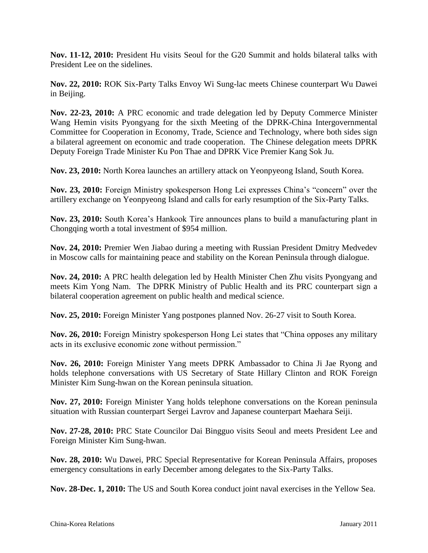**Nov. 11-12, 2010:** President Hu visits Seoul for the G20 Summit and holds bilateral talks with President Lee on the sidelines.

**Nov. 22, 2010:** ROK Six-Party Talks Envoy Wi Sung-lac meets Chinese counterpart Wu Dawei in Beijing.

**Nov. 22-23, 2010:** A PRC economic and trade delegation led by Deputy Commerce Minister Wang Hemin visits Pyongyang for the sixth Meeting of the DPRK-China Intergovernmental Committee for Cooperation in Economy, Trade, Science and Technology, where both sides sign a bilateral agreement on economic and trade cooperation. The Chinese delegation meets DPRK Deputy Foreign Trade Minister Ku Pon Thae and DPRK Vice Premier Kang Sok Ju.

**Nov. 23, 2010:** North Korea launches an artillery attack on Yeonpyeong Island, South Korea.

**Nov. 23, 2010:** Foreign Ministry spokesperson Hong Lei expresses China's "concern" over the artillery exchange on Yeonpyeong Island and calls for early resumption of the Six-Party Talks.

**Nov. 23, 2010:** South Korea's Hankook Tire announces plans to build a manufacturing plant in Chongqing worth a total investment of \$954 million.

**Nov. 24, 2010:** Premier Wen Jiabao during a meeting with Russian President Dmitry Medvedev in Moscow calls for maintaining peace and stability on the Korean Peninsula through dialogue.

**Nov. 24, 2010:** A PRC health delegation led by Health Minister Chen Zhu visits Pyongyang and meets Kim Yong Nam. The DPRK Ministry of Public Health and its PRC counterpart sign a bilateral cooperation agreement on public health and medical science.

**Nov. 25, 2010:** Foreign Minister Yang postpones planned Nov. 26-27 visit to South Korea.

**Nov. 26, 2010:** Foreign Ministry spokesperson Hong Lei states that "China opposes any military acts in its exclusive economic zone without permission."

**Nov. 26, 2010:** Foreign Minister Yang meets DPRK Ambassador to China Ji Jae Ryong and holds telephone conversations with US Secretary of State Hillary Clinton and ROK Foreign Minister Kim Sung-hwan on the Korean peninsula situation.

**Nov. 27, 2010:** Foreign Minister Yang holds telephone conversations on the Korean peninsula situation with Russian counterpart Sergei Lavrov and Japanese counterpart Maehara Seiji.

**Nov. 27-28, 2010:** PRC State Councilor Dai Bingguo visits Seoul and meets President Lee and Foreign Minister Kim Sung-hwan.

**Nov. 28, 2010:** Wu Dawei, PRC Special Representative for Korean Peninsula Affairs, proposes emergency consultations in early December among delegates to the Six-Party Talks.

**Nov. 28-Dec. 1, 2010:** The US and South Korea conduct joint naval exercises in the Yellow Sea.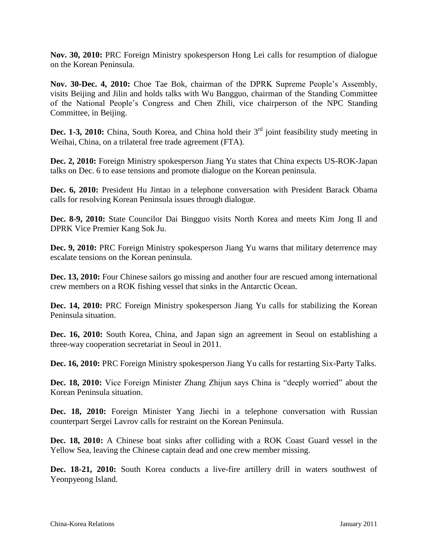**Nov. 30, 2010:** PRC Foreign Ministry spokesperson Hong Lei calls for resumption of dialogue on the Korean Peninsula.

**Nov. 30-Dec. 4, 2010:** Choe Tae Bok, chairman of the DPRK Supreme People's Assembly, visits Beijing and Jilin and holds talks with Wu Bangguo, chairman of the Standing Committee of the National People's Congress and Chen Zhili, vice chairperson of the NPC Standing Committee, in Beijing.

**Dec. 1-3, 2010:** China, South Korea, and China hold their 3<sup>rd</sup> joint feasibility study meeting in Weihai, China, on a trilateral free trade agreement (FTA).

**Dec. 2, 2010:** Foreign Ministry spokesperson Jiang Yu states that China expects US-ROK-Japan talks on Dec. 6 to ease tensions and promote dialogue on the Korean peninsula.

**Dec. 6, 2010:** President Hu Jintao in a telephone conversation with President Barack Obama calls for resolving Korean Peninsula issues through dialogue.

**Dec. 8-9, 2010:** State Councilor Dai Bingguo visits North Korea and meets Kim Jong Il and DPRK Vice Premier Kang Sok Ju.

**Dec. 9, 2010:** PRC Foreign Ministry spokesperson Jiang Yu warns that military deterrence may escalate tensions on the Korean peninsula.

**Dec. 13, 2010:** Four Chinese sailors go missing and another four are rescued among international crew members on a ROK fishing vessel that sinks in the Antarctic Ocean.

**Dec. 14, 2010:** PRC Foreign Ministry spokesperson Jiang Yu calls for stabilizing the Korean Peninsula situation.

**Dec. 16, 2010:** South Korea, China, and Japan sign an agreement in Seoul on establishing a three-way cooperation secretariat in Seoul in 2011.

**Dec. 16, 2010:** PRC Foreign Ministry spokesperson Jiang Yu calls for restarting Six-Party Talks.

**Dec. 18, 2010:** Vice Foreign Minister Zhang Zhijun says China is "deeply worried" about the Korean Peninsula situation.

**Dec. 18, 2010:** Foreign Minister Yang Jiechi in a telephone conversation with Russian counterpart Sergei Lavrov calls for restraint on the Korean Peninsula.

**Dec. 18, 2010:** A Chinese boat sinks after colliding with a ROK Coast Guard vessel in the Yellow Sea, leaving the Chinese captain dead and one crew member missing.

**Dec. 18-21, 2010:** South Korea conducts a live-fire artillery drill in waters southwest of Yeonpyeong Island.